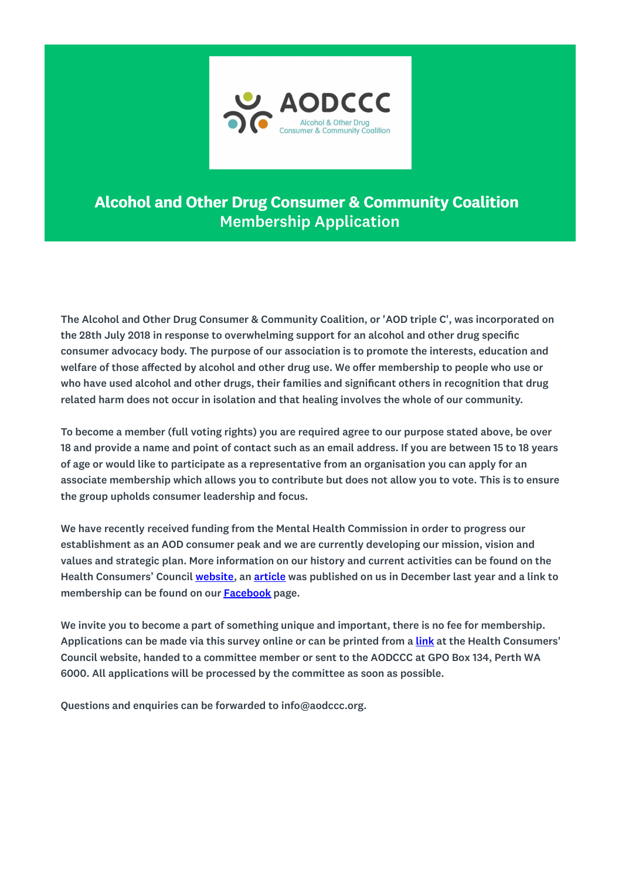

## Alcohol and Other Drug Consumer & Community Coalition Membership Application

The Alcohol and Other Drug Consumer & Community Coalition, or 'AOD triple C', was incorporated on the 28th July 2018 in response to overwhelming support for an alcohol and other drug specific consumer advocacy body. The purpose of our association is to promote the interests, education and welfare of those affected by alcohol and other drug use. We offer membership to people who use or who have used alcohol and other drugs, their families and significant others in recognition that drug related harm does not occur in isolation and that healing involves the whole of our community.

To become a member (full voting rights) you are required agree to our purpose stated above, be over 18 and provide a name and point of contact such as an email address. If you are between 15 to 18 years of age or would like to participate as a representative from an organisation you can apply for an associate membership which allows you to contribute but does not allow you to vote. This is to ensure the group upholds consumer leadership and focus.

We have recently received funding from the Mental Health Commission in order to progress our establishment as an AOD consumer peak and we are currently developing our mission, vision and values and strategic plan. More information on our history and current activities can be found on the Health Consumers' Council website, an article was published on us in December last year and a link to membership can be found on our Facebook page.

We invite you to become a part of something unique and important, there is no fee for membership. Applications can be made via this survey online or can be printed from a link at the Health Consumers' Council website, handed to a committee member or sent to the AODCCC at GPO Box 134, Perth WA 6000. All applications will be processed by the committee as soon as possible.

Questions and enquiries can be forwarded to info@aodccc.org.